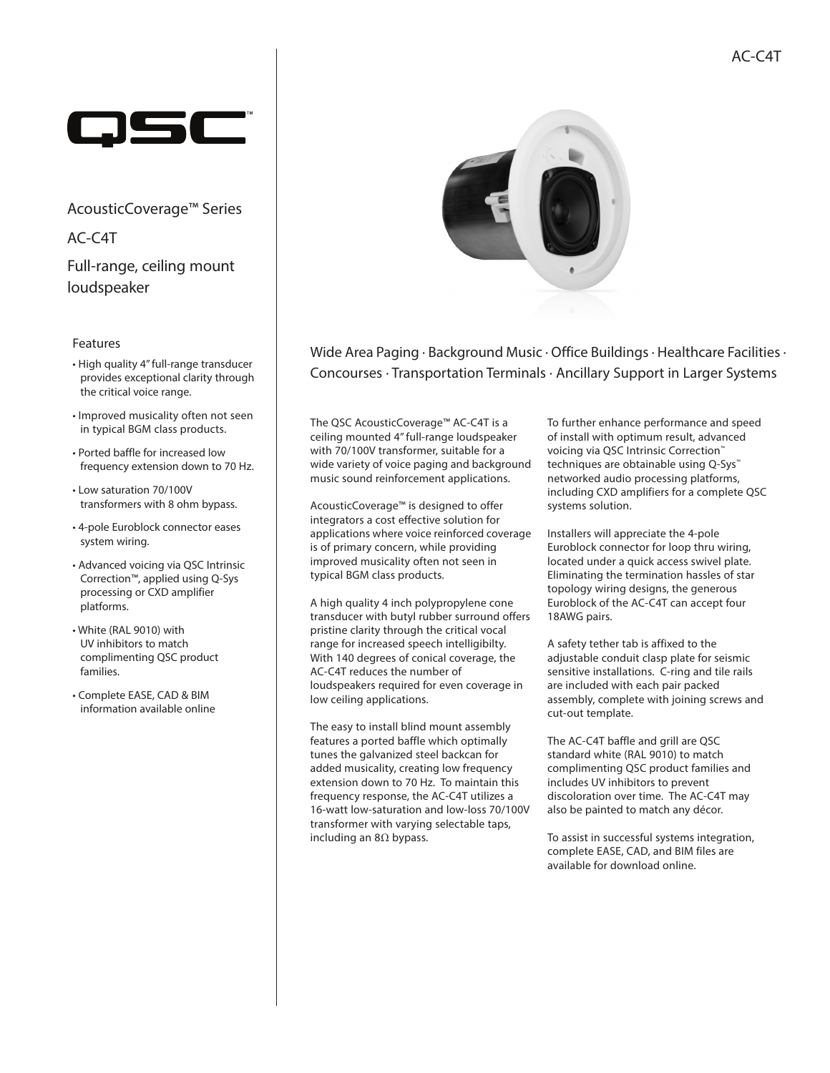

AcousticCoverage™ Series

Full-range, ceiling mount loudspeaker AC-C4T

### Features

- High quality 4" full-range transducer provides exceptional clarity through the critical voice range.
- Improved musicality often not seen in typical BGM class products.
- Ported baffle for increased low frequency extension down to 70 Hz.
- Low saturation 70/100V transformers with 8 ohm bypass.
- 4-pole Euroblock connector eases system wiring.
- Advanced voicing via QSC Intrinsic Correction™, applied using Q-Sys processing or CXD amplifier platforms.
- White (RAL 9010) with UV inhibitors to match complimenting QSC product families.
- Complete EASE, CAD & BIM information available online



Wide Area Paging ∙ Background Music ∙ Office Buildings ∙ Healthcare Facilities ∙ Concourses ∙ Transportation Terminals ∙ Ancillary Support in Larger Systems

The QSC AcousticCoverage™ AC-C4T is a ceiling mounted 4" full-range loudspeaker with 70/100V transformer, suitable for a wide variety of voice paging and background music sound reinforcement applications.

AcousticCoverage™ is designed to offer integrators a cost effective solution for applications where voice reinforced coverage is of primary concern, while providing improved musicality often not seen in typical BGM class products.

A high quality 4 inch polypropylene cone transducer with butyl rubber surround offers pristine clarity through the critical vocal range for increased speech intelligibilty. With 140 degrees of conical coverage, the AC-C4T reduces the number of loudspeakers required for even coverage in low ceiling applications.

The easy to install blind mount assembly features a ported baffle which optimally tunes the galvanized steel backcan for added musicality, creating low frequency extension down to 70 Hz. To maintain this frequency response, the AC-C4T utilizes a 16-watt low-saturation and low-loss 70/100V transformer with varying selectable taps, including an 8Ω bypass.

To further enhance performance and speed of install with optimum result, advanced voicing via QSC Intrinsic Correction™ techniques are obtainable using Q-Sys<sup>™</sup> networked audio processing platforms, including CXD amplifiers for a complete QSC systems solution.

Installers will appreciate the 4-pole Euroblock connector for loop thru wiring, located under a quick access swivel plate. Eliminating the termination hassles of star topology wiring designs, the generous Euroblock of the AC-C4T can accept four 18AWG pairs.

A safety tether tab is affixed to the adjustable conduit clasp plate for seismic sensitive installations. C-ring and tile rails are included with each pair packed assembly, complete with joining screws and cut-out template.

The AC-C4T baffle and grill are OSC standard white (RAL 9010) to match complimenting QSC product families and includes UV inhibitors to prevent discoloration over time. The AC-C4T may also be painted to match any décor.

To assist in successful systems integration, complete EASE, CAD, and BIM files are available for download online.